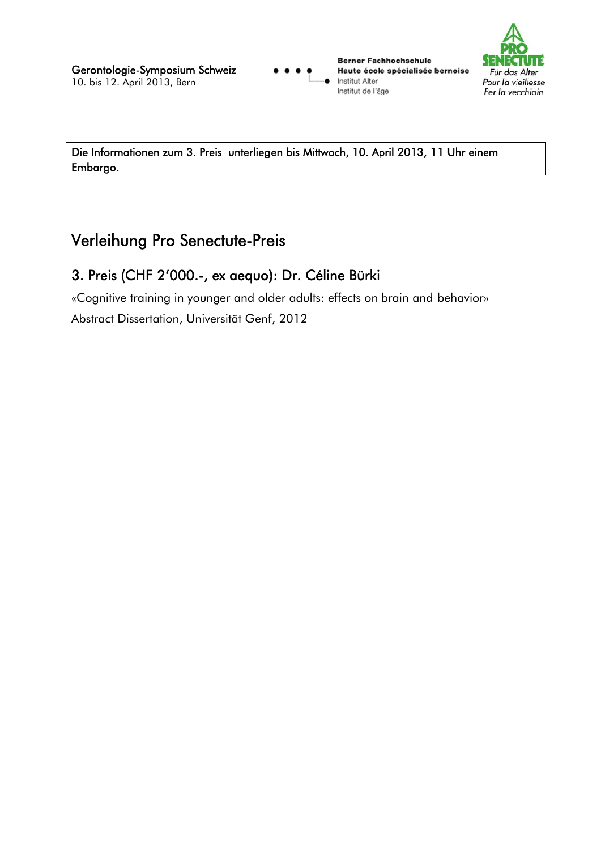**Berner Fachhochschule** Haute école spécialisée bernoise **Institut Alter** Institut de l'âge



Die Informationen zum 3. Preis unterliegen bis Mittwoch, 10. April 2013, 11 Uhr einem Embargo.

## Verleihung Pro Senectute-Preis

## 3. Preis (CHF 2'000 .- , ex aequo): Dr. Céline Bürki

«Cognitive training in younger and older adults: effects on brain and behavior» Abstract Dissertation, Universität Genf, 2012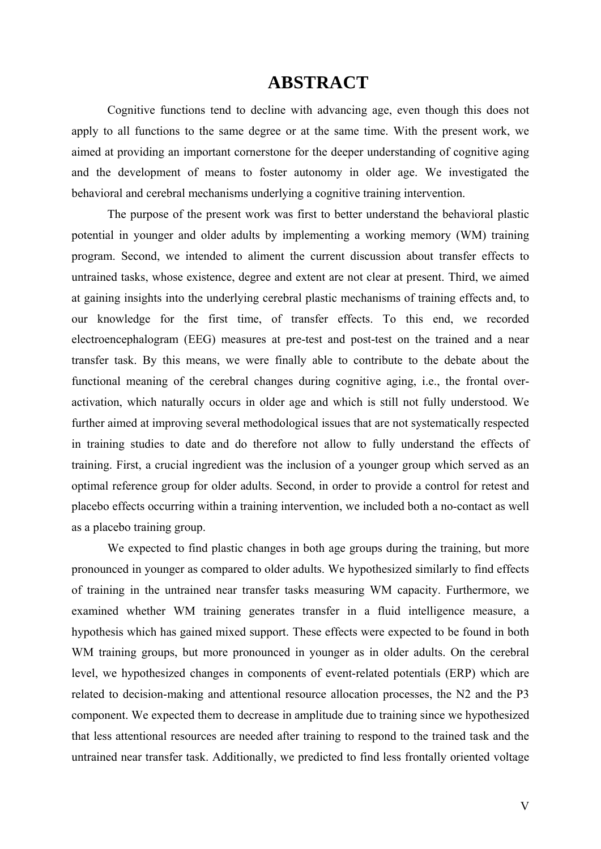## **ABSTRACT**

Cognitive functions tend to decline with advancing age, even though this does not apply to all functions to the same degree or at the same time. With the present work, we aimed at providing an important cornerstone for the deeper understanding of cognitive aging and the development of means to foster autonomy in older age. We investigated the behavioral and cerebral mechanisms underlying a cognitive training intervention.

The purpose of the present work was first to better understand the behavioral plastic potential in younger and older adults by implementing a working memory (WM) training program. Second, we intended to aliment the current discussion about transfer effects to untrained tasks, whose existence, degree and extent are not clear at present. Third, we aimed at gaining insights into the underlying cerebral plastic mechanisms of training effects and, to our knowledge for the first time, of transfer effects. To this end, we recorded electroencephalogram (EEG) measures at pre-test and post-test on the trained and a near transfer task. By this means, we were finally able to contribute to the debate about the functional meaning of the cerebral changes during cognitive aging, i.e., the frontal overactivation, which naturally occurs in older age and which is still not fully understood. We further aimed at improving several methodological issues that are not systematically respected in training studies to date and do therefore not allow to fully understand the effects of training. First, a crucial ingredient was the inclusion of a younger group which served as an optimal reference group for older adults. Second, in order to provide a control for retest and placebo effects occurring within a training intervention, we included both a no-contact as well as a placebo training group.

We expected to find plastic changes in both age groups during the training, but more pronounced in younger as compared to older adults. We hypothesized similarly to find effects of training in the untrained near transfer tasks measuring WM capacity. Furthermore, we examined whether WM training generates transfer in a fluid intelligence measure, a hypothesis which has gained mixed support. These effects were expected to be found in both WM training groups, but more pronounced in younger as in older adults. On the cerebral level, we hypothesized changes in components of event-related potentials (ERP) which are related to decision-making and attentional resource allocation processes, the N2 and the P3 component. We expected them to decrease in amplitude due to training since we hypothesized that less attentional resources are needed after training to respond to the trained task and the untrained near transfer task. Additionally, we predicted to find less frontally oriented voltage

V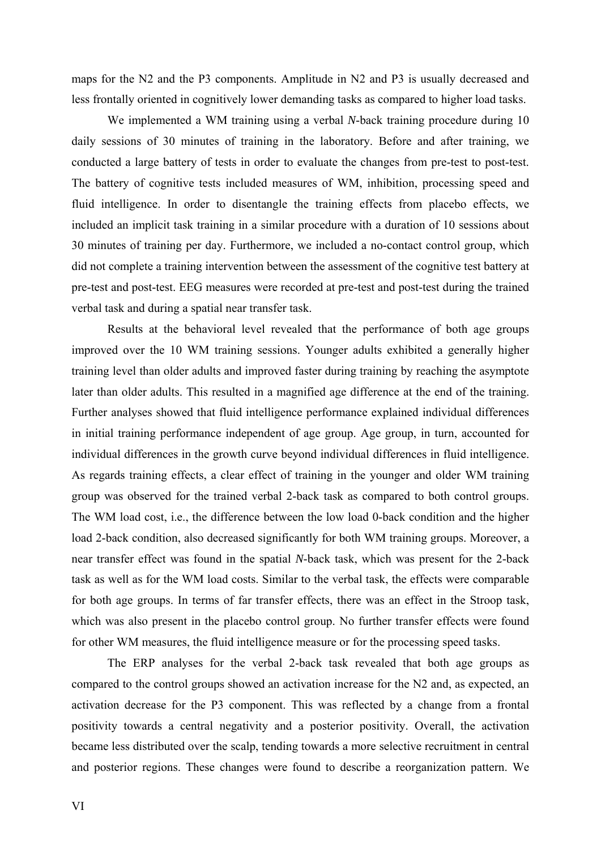maps for the N2 and the P3 components. Amplitude in N2 and P3 is usually decreased and less frontally oriented in cognitively lower demanding tasks as compared to higher load tasks.

We implemented a WM training using a verbal *N*-back training procedure during 10 daily sessions of 30 minutes of training in the laboratory. Before and after training, we conducted a large battery of tests in order to evaluate the changes from pre-test to post-test. The battery of cognitive tests included measures of WM, inhibition, processing speed and fluid intelligence. In order to disentangle the training effects from placebo effects, we included an implicit task training in a similar procedure with a duration of 10 sessions about 30 minutes of training per day. Furthermore, we included a no-contact control group, which did not complete a training intervention between the assessment of the cognitive test battery at pre-test and post-test. EEG measures were recorded at pre-test and post-test during the trained verbal task and during a spatial near transfer task.

Results at the behavioral level revealed that the performance of both age groups improved over the 10 WM training sessions. Younger adults exhibited a generally higher training level than older adults and improved faster during training by reaching the asymptote later than older adults. This resulted in a magnified age difference at the end of the training. Further analyses showed that fluid intelligence performance explained individual differences in initial training performance independent of age group. Age group, in turn, accounted for individual differences in the growth curve beyond individual differences in fluid intelligence. As regards training effects, a clear effect of training in the younger and older WM training group was observed for the trained verbal 2-back task as compared to both control groups. The WM load cost, i.e., the difference between the low load 0-back condition and the higher load 2-back condition, also decreased significantly for both WM training groups. Moreover, a near transfer effect was found in the spatial *N*-back task, which was present for the 2-back task as well as for the WM load costs. Similar to the verbal task, the effects were comparable for both age groups. In terms of far transfer effects, there was an effect in the Stroop task, which was also present in the placebo control group. No further transfer effects were found for other WM measures, the fluid intelligence measure or for the processing speed tasks.

The ERP analyses for the verbal 2-back task revealed that both age groups as compared to the control groups showed an activation increase for the N2 and, as expected, an activation decrease for the P3 component. This was reflected by a change from a frontal positivity towards a central negativity and a posterior positivity. Overall, the activation became less distributed over the scalp, tending towards a more selective recruitment in central and posterior regions. These changes were found to describe a reorganization pattern. We